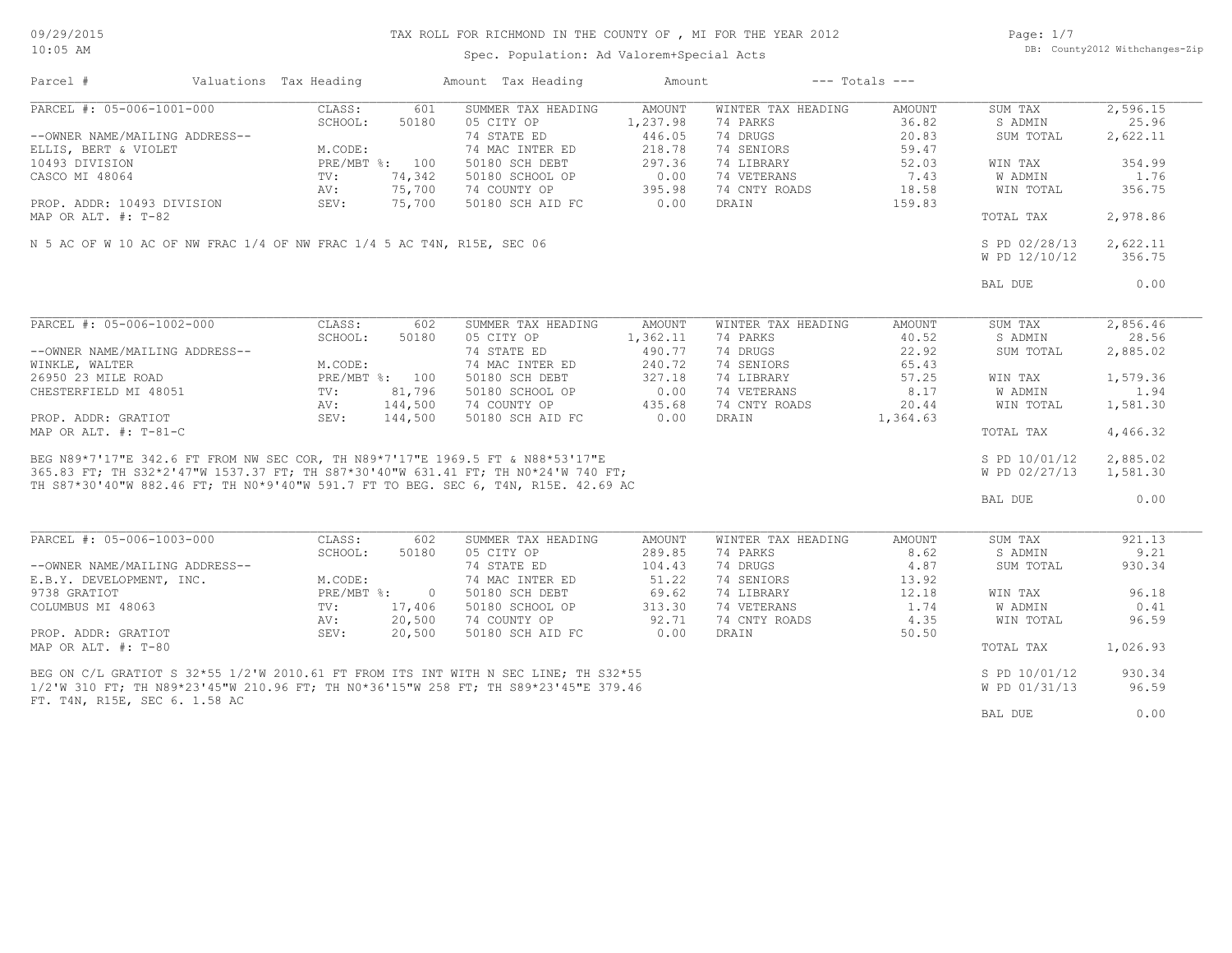Spec. Population: Ad Valorem+Special Acts

Page: 1/7 DB: County2012 Withchanges-Zip

| Parcel #                                                                                                                                                                                                                             | Valuations Tax Heading |                                | Amount Tax Heading | Amount   |                    | $---$ Totals $---$ |               |          |
|--------------------------------------------------------------------------------------------------------------------------------------------------------------------------------------------------------------------------------------|------------------------|--------------------------------|--------------------|----------|--------------------|--------------------|---------------|----------|
| PARCEL #: 05-006-1001-000                                                                                                                                                                                                            | CLASS:                 | 601                            | SUMMER TAX HEADING | AMOUNT   | WINTER TAX HEADING | AMOUNT             | SUM TAX       | 2,596.15 |
|                                                                                                                                                                                                                                      | SCHOOL:                | 50180                          | 05 CITY OP         | 1,237.98 | 74 PARKS           | 36.82              | S ADMIN       | 25.96    |
| --OWNER NAME/MAILING ADDRESS--                                                                                                                                                                                                       |                        |                                | 74 STATE ED        | 446.05   | 74 DRUGS           | 20.83              | SUM TOTAL     | 2,622.11 |
| ELLIS, BERT & VIOLET                                                                                                                                                                                                                 | M.CODE:                |                                | 74 MAC INTER ED    | 218.78   | 74 SENIORS         | 59.47              |               |          |
| 10493 DIVISION                                                                                                                                                                                                                       |                        | PRE/MBT %: 100                 | 50180 SCH DEBT     | 297.36   | 74 LIBRARY         | 52.03              | WIN TAX       | 354.99   |
| CASCO MI 48064                                                                                                                                                                                                                       | $\text{TV}$ :          | 74,342                         | 50180 SCHOOL OP    | 0.00     | 74 VETERANS        | 7.43               | W ADMIN       | 1.76     |
|                                                                                                                                                                                                                                      | AV:                    | 75,700                         | 74 COUNTY OP       | 395.98   | 74 CNTY ROADS      | 18.58              | WIN TOTAL     | 356.75   |
| PROP. ADDR: 10493 DIVISION                                                                                                                                                                                                           | SEV:                   | 75,700                         | 50180 SCH AID FC   | 0.00     | DRAIN              | 159.83             |               |          |
| MAP OR ALT. $\#$ : T-82                                                                                                                                                                                                              |                        |                                |                    |          |                    |                    | TOTAL TAX     | 2,978.86 |
|                                                                                                                                                                                                                                      |                        |                                |                    |          |                    |                    |               |          |
| N 5 AC OF W 10 AC OF NW FRAC 1/4 OF NW FRAC 1/4 5 AC T4N, R15E, SEC 06                                                                                                                                                               |                        |                                |                    |          |                    |                    | S PD 02/28/13 | 2,622.11 |
|                                                                                                                                                                                                                                      |                        |                                |                    |          |                    |                    | W PD 12/10/12 | 356.75   |
|                                                                                                                                                                                                                                      |                        |                                |                    |          |                    |                    | BAL DUE       | 0.00     |
|                                                                                                                                                                                                                                      |                        |                                |                    |          |                    |                    |               |          |
| PARCEL #: 05-006-1002-000                                                                                                                                                                                                            | CLASS:                 | 602                            | SUMMER TAX HEADING | AMOUNT   | WINTER TAX HEADING | AMOUNT             | SUM TAX       | 2,856.46 |
|                                                                                                                                                                                                                                      | SCHOOL:                | 50180                          | 05 CITY OP         | 1,362.11 | 74 PARKS           | 40.52              | S ADMIN       | 28.56    |
| --OWNER NAME/MAILING ADDRESS--                                                                                                                                                                                                       |                        |                                | 74 STATE ED        | 490.77   | 74 DRUGS           | 22.92              | SUM TOTAL     | 2,885.02 |
| WINKLE, WALTER                                                                                                                                                                                                                       | M.CODE:                |                                | 74 MAC INTER ED    | 240.72   | 74 SENIORS         | 65.43              |               |          |
| 26950 23 MILE ROAD                                                                                                                                                                                                                   |                        | PRE/MBT %: 100                 | 50180 SCH DEBT     | 327.18   | 74 LIBRARY         | 57.25              | WIN TAX       | 1,579.36 |
| CHESTERFIELD MI 48051                                                                                                                                                                                                                | TV:                    | 81,796                         | 50180 SCHOOL OP    | 0.00     | 74 VETERANS        | 8.17               | W ADMIN       | 1.94     |
|                                                                                                                                                                                                                                      | AV:                    | 144,500                        | 74 COUNTY OP       | 435.68   | 74 CNTY ROADS      | 20.44              | WIN TOTAL     | 1,581.30 |
| PROP. ADDR: GRATIOT                                                                                                                                                                                                                  |                        | SEV: 144,500                   | 50180 SCH AID FC   | 0.00     | DRAIN              | 1,364.63           |               |          |
| MAP OR ALT. $\#$ : T-81-C                                                                                                                                                                                                            |                        |                                |                    |          |                    |                    | TOTAL TAX     | 4,466.32 |
| BEG N89*7'17"E 342.6 FT FROM NW SEC COR, TH N89*7'17"E 1969.5 FT & N88*53'17"E<br>365.83 FT; TH S32*2'47"W 1537.37 FT; TH S87*30'40"W 631.41 FT; TH N0*24'W 740 FT;<br>365.83 FT; TH S32*2'47"W 1537.37 FT; TH S87*30'40"W 631.41 FT |                        |                                |                    |          |                    |                    | S PD 10/01/12 | 2,885.02 |
|                                                                                                                                                                                                                                      |                        |                                |                    |          |                    |                    | W PD 02/27/13 | 1,581.30 |
|                                                                                                                                                                                                                                      |                        |                                |                    |          |                    |                    |               |          |
|                                                                                                                                                                                                                                      |                        |                                |                    |          |                    |                    | BAL DUE       | 0.00     |
|                                                                                                                                                                                                                                      |                        |                                |                    |          |                    |                    |               |          |
| PARCEL #: 05-006-1003-000                                                                                                                                                                                                            | CLASS:                 | 602                            | SUMMER TAX HEADING | AMOUNT   | WINTER TAX HEADING | AMOUNT             | SUM TAX       | 921.13   |
|                                                                                                                                                                                                                                      | SCHOOL:                | 50180                          | 05 CITY OP         | 289.85   | 74 PARKS           | 8.62               | S ADMIN       | 9.21     |
| --OWNER NAME/MAILING ADDRESS--                                                                                                                                                                                                       |                        |                                | 74 STATE ED        | 104.43   | 74 DRUGS           | 4.87               | SUM TOTAL     | 930.34   |
| E.B.Y. DEVELOPMENT, INC.                                                                                                                                                                                                             | M.CODE:                |                                | 74 MAC INTER ED    | 51.22    | 74 SENIORS         | 13.92              |               |          |
| 9738 GRATIOT                                                                                                                                                                                                                         |                        | $PRE/MBT$ %:<br>$\overline{0}$ | 50180 SCH DEBT     | 69.62    | 74 LIBRARY         | 12.18              | WIN TAX       | 96.18    |
| COLUMBUS MI 48063                                                                                                                                                                                                                    | TV:                    | 17,406                         | 50180 SCHOOL OP    | 313.30   | 74 VETERANS        | 1.74               | W ADMIN       | 0.41     |
|                                                                                                                                                                                                                                      | AV:                    | 20,500                         | 74 COUNTY OP       | 92.71    | 74 CNTY ROADS      | 4.35               | WIN TOTAL     | 96.59    |
| PROP. ADDR: GRATIOT                                                                                                                                                                                                                  | SEV:                   | 20,500                         | 50180 SCH AID FC   | 0.00     | DRAIN              | 50.50              |               |          |
| MAP OR ALT. #: T-80                                                                                                                                                                                                                  |                        |                                |                    |          |                    |                    | TOTAL TAX     | 1,026.93 |
|                                                                                                                                                                                                                                      |                        |                                |                    |          |                    |                    |               | 930.34   |
| BEG ON C/L GRATIOT S 32*55 1/2'W 2010.61 FT FROM ITS INT WITH N SEC LINE; TH S32*55                                                                                                                                                  |                        |                                |                    |          |                    |                    | S PD 10/01/12 |          |
| 1/2'W 310 FT; TH N89*23'45"W 210.96 FT; TH N0*36'15"W 258 FT; TH S89*23'45"E 379.46                                                                                                                                                  |                        |                                |                    |          |                    |                    | W PD 01/31/13 | 96.59    |
| FT. T4N, R15E, SEC 6. 1.58 AC                                                                                                                                                                                                        |                        |                                |                    |          |                    |                    |               |          |
|                                                                                                                                                                                                                                      |                        |                                |                    |          |                    |                    | BAL DUE       | 0.00     |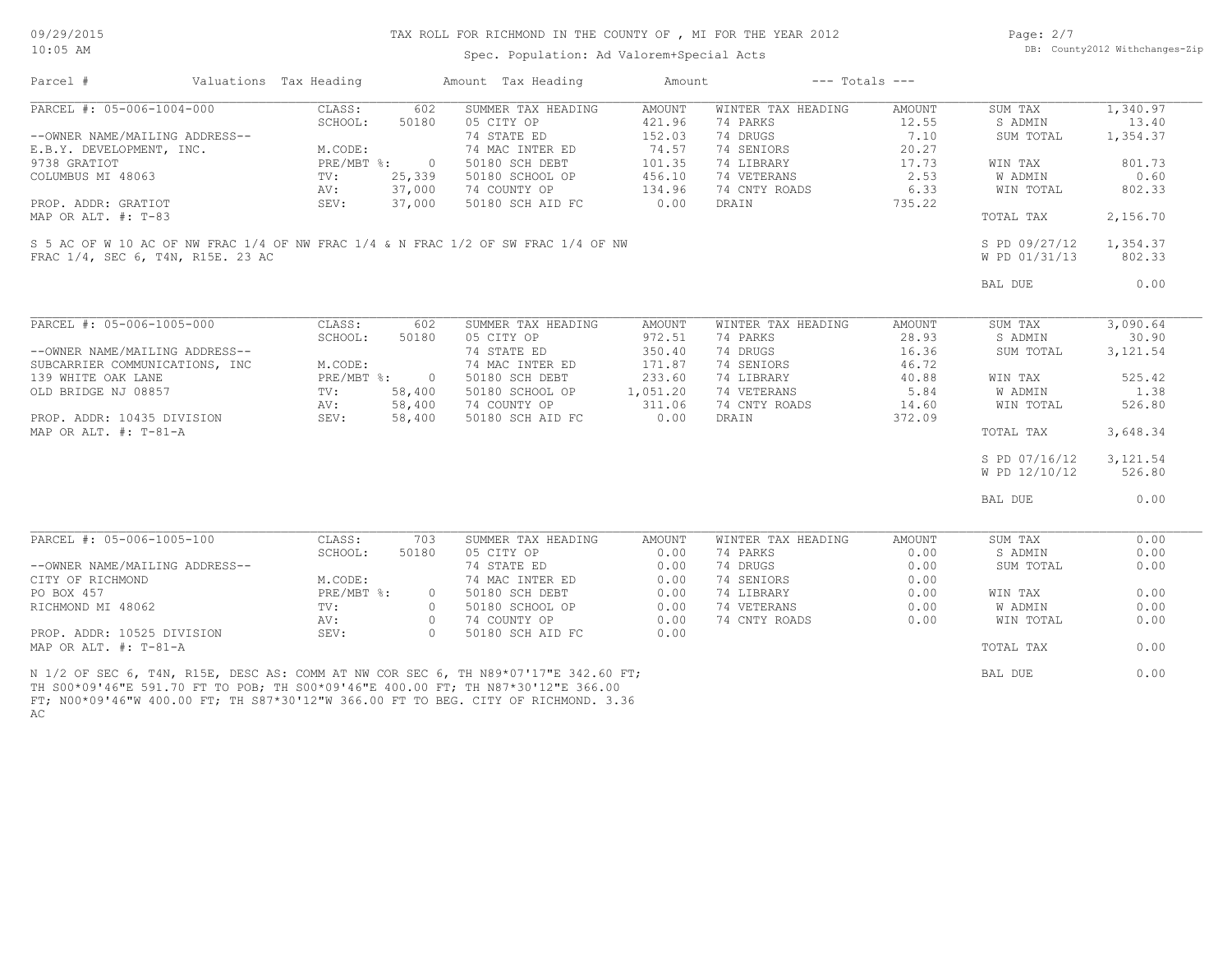Spec. Population: Ad Valorem+Special Acts

Page: 2/7 DB: County2012 Withchanges-Zip

| Parcel #                                                                                                                                                                                                    | Valuations Tax Heading |              |          | Amount Tax Heading | Amount        |                    | $---$ Totals $---$ |                |           |
|-------------------------------------------------------------------------------------------------------------------------------------------------------------------------------------------------------------|------------------------|--------------|----------|--------------------|---------------|--------------------|--------------------|----------------|-----------|
| PARCEL #: 05-006-1004-000                                                                                                                                                                                   |                        | CLASS:       | 602      | SUMMER TAX HEADING | AMOUNT        | WINTER TAX HEADING | <b>AMOUNT</b>      | SUM TAX        | 1,340.97  |
|                                                                                                                                                                                                             |                        | SCHOOL:      | 50180    | 05 CITY OP         | 421.96        | 74 PARKS           | 12.55              | S ADMIN        | 13.40     |
| --OWNER NAME/MAILING ADDRESS--                                                                                                                                                                              |                        |              |          | 74 STATE ED        | 152.03        | 74 DRUGS           | 7.10               | SUM TOTAL      | 1,354.37  |
| E.B.Y. DEVELOPMENT, INC.                                                                                                                                                                                    |                        | M.CODE:      |          | 74 MAC INTER ED    | 74.57         | 74 SENIORS         | 20.27              |                |           |
| 9738 GRATIOT                                                                                                                                                                                                |                        | PRE/MBT %:   | $\circ$  | 50180 SCH DEBT     | 101.35        | 74 LIBRARY         | 17.73              | WIN TAX        | 801.73    |
| COLUMBUS MI 48063                                                                                                                                                                                           |                        | TV:          | 25,339   | 50180 SCHOOL OP    | 456.10        | 74 VETERANS        | 2.53               | W ADMIN        | 0.60      |
|                                                                                                                                                                                                             |                        | AV:          | 37,000   | 74 COUNTY OP       | 134.96        | 74 CNTY ROADS      | 6.33               | WIN TOTAL      | 802.33    |
| PROP. ADDR: GRATIOT                                                                                                                                                                                         |                        | SEV:         | 37,000   | 50180 SCH AID FC   | 0.00          | DRAIN              | 735.22             |                |           |
| MAP OR ALT. #: T-83                                                                                                                                                                                         |                        |              |          |                    |               |                    |                    | TOTAL TAX      | 2,156.70  |
| S 5 AC OF W 10 AC OF NW FRAC 1/4 OF NW FRAC 1/4 & N FRAC 1/2 OF SW FRAC 1/4 OF NW                                                                                                                           |                        |              |          |                    |               |                    |                    | S PD 09/27/12  | 1,354.37  |
| FRAC 1/4, SEC 6, T4N, R15E, 23 AC                                                                                                                                                                           |                        |              |          |                    |               |                    |                    | W PD 01/31/13  | 802.33    |
|                                                                                                                                                                                                             |                        |              |          |                    |               |                    |                    |                |           |
|                                                                                                                                                                                                             |                        |              |          |                    |               |                    |                    | BAL DUE        | 0.00      |
| PARCEL #: 05-006-1005-000                                                                                                                                                                                   |                        | CLASS:       | 602      | SUMMER TAX HEADING | <b>AMOUNT</b> | WINTER TAX HEADING | <b>AMOUNT</b>      | SUM TAX        | 3,090.64  |
|                                                                                                                                                                                                             |                        | SCHOOL:      | 50180    | 05 CITY OP         | 972.51        | 74 PARKS           | 28.93              | S ADMIN        | 30.90     |
| --OWNER NAME/MAILING ADDRESS--                                                                                                                                                                              |                        |              |          | 74 STATE ED        | 350.40        | 74 DRUGS           | 16.36              | SUM TOTAL      | 3, 121.54 |
|                                                                                                                                                                                                             |                        |              |          |                    | 171.87        |                    | 46.72              |                |           |
| SUBCARRIER COMMUNICATIONS, INC                                                                                                                                                                              |                        | M.CODE:      |          | 74 MAC INTER ED    |               | 74 SENIORS         |                    |                | 525.42    |
| 139 WHITE OAK LANE                                                                                                                                                                                          |                        | PRE/MBT %: 0 |          | 50180 SCH DEBT     | 233.60        | 74 LIBRARY         | 40.88              | WIN TAX        |           |
| OLD BRIDGE NJ 08857                                                                                                                                                                                         |                        | TV:          | 58,400   | 50180 SCHOOL OP    | 1,051.20      | 74 VETERANS        | 5.84               | W ADMIN        | 1.38      |
|                                                                                                                                                                                                             |                        | AV:          | 58,400   | 74 COUNTY OP       | 311.06        | 74 CNTY ROADS      | 14.60              | WIN TOTAL      | 526.80    |
| PROP. ADDR: 10435 DIVISION<br>MAP OR ALT. #: T-81-A                                                                                                                                                         |                        | SEV:         | 58,400   | 50180 SCH AID FC   | 0.00          | DRAIN              | 372.09             | TOTAL TAX      | 3,648.34  |
|                                                                                                                                                                                                             |                        |              |          |                    |               |                    |                    |                |           |
|                                                                                                                                                                                                             |                        |              |          |                    |               |                    |                    | S PD 07/16/12  | 3, 121.54 |
|                                                                                                                                                                                                             |                        |              |          |                    |               |                    |                    | W PD 12/10/12  | 526.80    |
|                                                                                                                                                                                                             |                        |              |          |                    |               |                    |                    | BAL DUE        | 0.00      |
|                                                                                                                                                                                                             |                        |              |          |                    |               |                    |                    |                |           |
| PARCEL #: 05-006-1005-100                                                                                                                                                                                   |                        | CLASS:       | 703      | SUMMER TAX HEADING | <b>AMOUNT</b> | WINTER TAX HEADING | <b>AMOUNT</b>      | SUM TAX        | 0.00      |
|                                                                                                                                                                                                             |                        | SCHOOL:      | 50180    | 05 CITY OP         | 0.00          | 74 PARKS           | 0.00               | S ADMIN        | 0.00      |
| --OWNER NAME/MAILING ADDRESS--                                                                                                                                                                              |                        |              |          | 74 STATE ED        | 0.00          | 74 DRUGS           | 0.00               | SUM TOTAL      | 0.00      |
| CITY OF RICHMOND                                                                                                                                                                                            |                        | M.CODE:      |          | 74 MAC INTER ED    | 0.00          | 74 SENIORS         | 0.00               |                |           |
| PO BOX 457                                                                                                                                                                                                  |                        | PRE/MBT %:   | $\circ$  | 50180 SCH DEBT     | 0.00          | 74 LIBRARY         | 0.00               | WIN TAX        | 0.00      |
| RICHMOND MI 48062                                                                                                                                                                                           |                        | TV:          | $\circ$  | 50180 SCHOOL OP    | 0.00          | 74 VETERANS        | 0.00               | <b>W ADMIN</b> | 0.00      |
|                                                                                                                                                                                                             |                        | AV:          | $\circ$  | 74 COUNTY OP       | 0.00          | 74 CNTY ROADS      | 0.00               | WIN TOTAL      | 0.00      |
| PROP. ADDR: 10525 DIVISION<br>MAP OR ALT. #: T-81-A                                                                                                                                                         |                        | SEV:         | $\Omega$ | 50180 SCH AID FC   | 0.00          |                    |                    | TOTAL TAX      | 0.00      |
|                                                                                                                                                                                                             |                        |              |          |                    |               |                    |                    |                |           |
| N 1/2 OF SEC 6, T4N, R15E, DESC AS: COMM AT NW COR SEC 6, TH N89*07'17"E 342.60 FT;<br>ጦሀ ሮሰሰ≭ሰሴ! <i>ለፎ</i> ‼፱ 5,01 7ሰ ፱ሞ ሞል ኮልኮ∙ ሞሀ ሮሰሰ≭ሰሴ! <i>ለፎ</i> ‼፱ <i>ለ</i> ሰሰ ሰሰ ፱ሞ∙ ሞሀ እෑየ7★?ሰ!1ገ‼፱ ? <i>ፎፎ</i> ሰሰ |                        |              |          |                    |               |                    |                    | BAL DUE        | 0.00      |

AC FT; N00\*09'46"W 400.00 FT; TH S87\*30'12"W 366.00 FT TO BEG. CITY OF RICHMOND. 3.36 TH S00\*09'46"E 591.70 FT TO POB; TH S00\*09'46"E 400.00 FT; TH N87\*30'12"E 366.00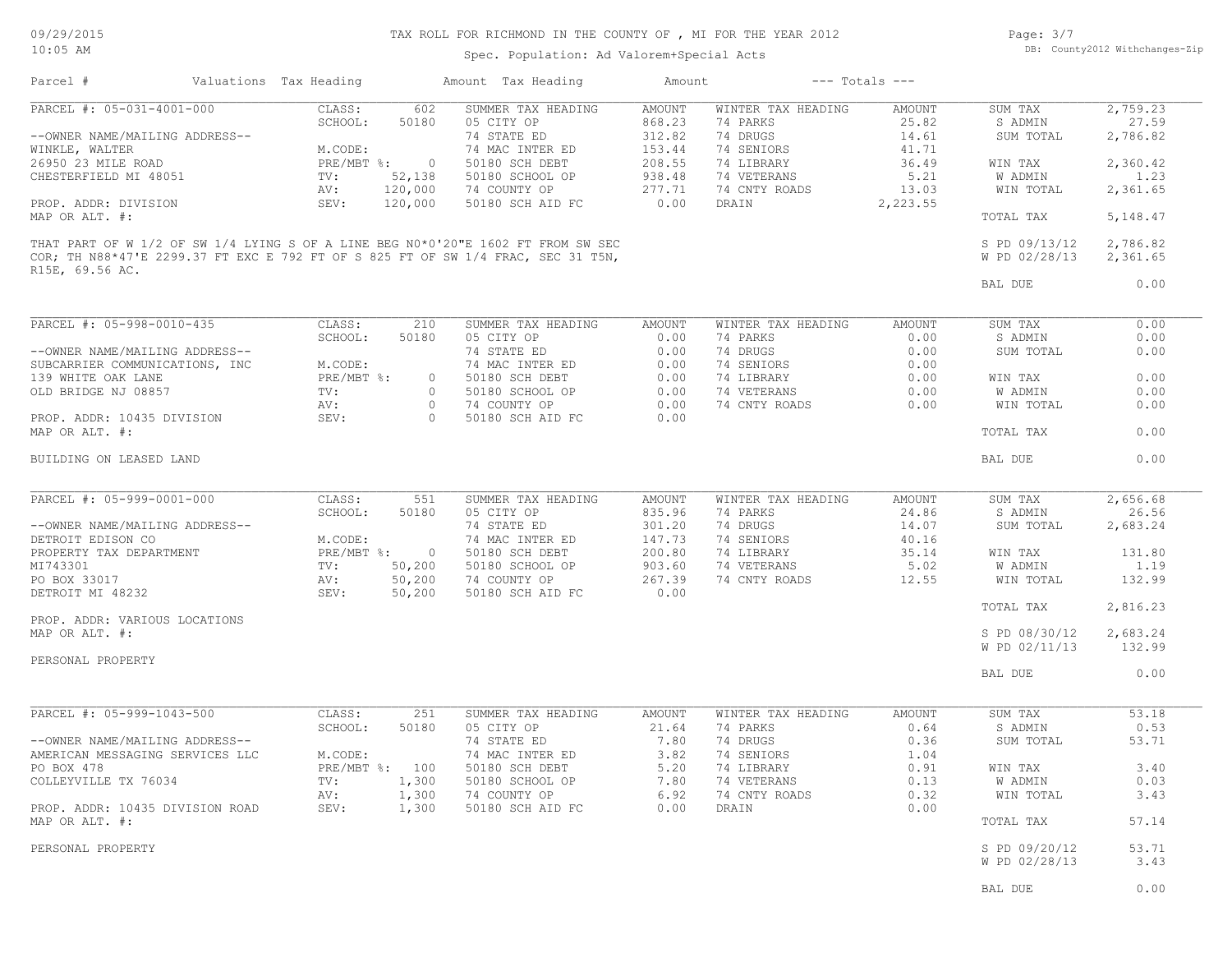Spec. Population: Ad Valorem+Special Acts

Page: 3/7 DB: County2012 Withchanges-Zip

| Parcel #                                     | Valuations Tax Heading |                | Amount Tax Heading                                                               | Amount        |                    | $---$ Totals $---$ |                                |                  |
|----------------------------------------------|------------------------|----------------|----------------------------------------------------------------------------------|---------------|--------------------|--------------------|--------------------------------|------------------|
| PARCEL #: 05-031-4001-000                    | CLASS:                 | 602            | SUMMER TAX HEADING                                                               | <b>AMOUNT</b> | WINTER TAX HEADING | AMOUNT             | SUM TAX                        | 2,759.23         |
|                                              | SCHOOL:                | 50180          | 05 CITY OP                                                                       | 868.23        | 74 PARKS           | 25.82              | S ADMIN                        | 27.59            |
| --OWNER NAME/MAILING ADDRESS--               |                        |                | 74 STATE ED                                                                      | 312.82        | 74 DRUGS           | 14.61              | SUM TOTAL                      | 2,786.82         |
| WINKLE, WALTER                               | M.CODE:                |                | 74 MAC INTER ED                                                                  | 153.44        | 74 SENIORS         | 41.71              |                                |                  |
| 26950 23 MILE ROAD<br>CHESTERFIELD MI 48051  | $PRE/MBT$ %:           | $\circ$        | 50180 SCH DEBT<br>50180 SCHOOL OP                                                | 208.55        | 74 LIBRARY         | 36.49              | WIN TAX                        | 2,360.42<br>1.23 |
|                                              | TV:                    | 52,138         |                                                                                  | 938.48        | 74 VETERANS        | 5.21               | W ADMIN                        |                  |
|                                              | AV:                    | 120,000        | 74 COUNTY OP                                                                     | 277.71        | 74 CNTY ROADS      | 13.03              | WIN TOTAL                      | 2,361.65         |
| PROP. ADDR: DIVISION<br>MAP OR ALT. #:       | SEV:                   | 120,000        | 50180 SCH AID FC                                                                 | 0.00          | DRAIN              | 2,223.55           | TOTAL TAX                      | 5,148.47         |
|                                              |                        |                | THAT PART OF W 1/2 OF SW 1/4 LYING S OF A LINE BEG N0*0'20"E 1602 FT FROM SW SEC |               |                    |                    | S PD 09/13/12                  | 2,786.82         |
| R15E, 69.56 AC.                              |                        |                | COR; TH N88*47'E 2299.37 FT EXC E 792 FT OF S 825 FT OF SW 1/4 FRAC, SEC 31 T5N, |               |                    |                    | W PD 02/28/13                  | 2,361.65         |
|                                              |                        |                |                                                                                  |               |                    |                    | BAL DUE                        | 0.00             |
| PARCEL #: 05-998-0010-435                    | CLASS:                 | 210            | SUMMER TAX HEADING                                                               | AMOUNT        | WINTER TAX HEADING | AMOUNT             | SUM TAX                        | 0.00             |
|                                              | SCHOOL:                | 50180          | 05 CITY OP                                                                       | 0.00          | 74 PARKS           | 0.00               | S ADMIN                        | 0.00             |
| --OWNER NAME/MAILING ADDRESS--               |                        |                | 74 STATE ED                                                                      | 0.00          | 74 DRUGS           | 0.00               | SUM TOTAL                      | 0.00             |
| SUBCARRIER COMMUNICATIONS, INC               | M.CODE:                |                | 74 MAC INTER ED                                                                  | 0.00          | 74 SENIORS         | 0.00               |                                |                  |
| 139 WHITE OAK LANE                           | PRE/MBT %:             | $\circ$        | 50180 SCH DEBT                                                                   | 0.00          | 74 LIBRARY         | 0.00               | WIN TAX                        | 0.00             |
| OLD BRIDGE NJ 08857                          | TV:                    | $\circ$        | 50180 SCHOOL OP                                                                  | 0.00          | 74 VETERANS        | 0.00               | W ADMIN                        | 0.00             |
|                                              | AV:                    | $\circ$        | 74 COUNTY OP                                                                     | 0.00          | 74 CNTY ROADS      | 0.00               | WIN TOTAL                      | 0.00             |
| PROP. ADDR: 10435 DIVISION<br>MAP OR ALT. #: | SEV:                   | $\Omega$       | 50180 SCH AID FC                                                                 | 0.00          |                    |                    | TOTAL TAX                      | 0.00             |
| BUILDING ON LEASED LAND                      |                        |                |                                                                                  |               |                    |                    | BAL DUE                        | 0.00             |
|                                              |                        |                |                                                                                  |               |                    |                    |                                |                  |
| PARCEL #: 05-999-0001-000                    | CLASS:                 | 551            | SUMMER TAX HEADING                                                               | AMOUNT        | WINTER TAX HEADING | AMOUNT             | SUM TAX                        | 2,656.68         |
|                                              | SCHOOL:                | 50180          | 05 CITY OP                                                                       | 835.96        | 74 PARKS           | 24.86              | S ADMIN                        | 26.56            |
| --OWNER NAME/MAILING ADDRESS--               |                        |                | 74 STATE ED                                                                      | 301.20        | 74 DRUGS           | 14.07              | SUM TOTAL                      | 2,683.24         |
| DETROIT EDISON CO                            | M.CODE:                |                | 74 MAC INTER ED                                                                  | 147.73        | 74 SENIORS         | 40.16              |                                |                  |
| PROPERTY TAX DEPARTMENT                      | PRE/MBT %:             | $\overline{0}$ | 50180 SCH DEBT                                                                   | 200.80        | 74 LIBRARY         | 35.14              | WIN TAX                        | 131.80           |
| MI743301                                     | TV:                    | 50,200         | 50180 SCHOOL OP                                                                  | 903.60        | 74 VETERANS        | 5.02               | W ADMIN                        | 1.19             |
| PO BOX 33017                                 | AV:                    | 50,200         | 74 COUNTY OP                                                                     | 267.39        | 74 CNTY ROADS      | 12.55              | WIN TOTAL                      | 132.99           |
| DETROIT MI 48232                             | SEV:                   | 50,200         | 50180 SCH AID FC                                                                 | 0.00          |                    |                    |                                |                  |
| PROP. ADDR: VARIOUS LOCATIONS                |                        |                |                                                                                  |               |                    |                    | TOTAL TAX                      | 2,816.23         |
| MAP OR ALT. #:                               |                        |                |                                                                                  |               |                    |                    | S PD 08/30/12                  | 2,683.24         |
|                                              |                        |                |                                                                                  |               |                    |                    | W PD 02/11/13                  | 132.99           |
| PERSONAL PROPERTY                            |                        |                |                                                                                  |               |                    |                    |                                |                  |
|                                              |                        |                |                                                                                  |               |                    |                    | BAL DUE                        | 0.00             |
|                                              |                        |                |                                                                                  |               |                    |                    |                                |                  |
| PARCEL #: 05-999-1043-500                    | CLASS:                 | 251            | SUMMER TAX HEADING                                                               | AMOUNT        | WINTER TAX HEADING | AMOUNT             | SUM TAX                        | 53.18            |
|                                              | SCHOOL:                | 50180          | 05 CITY OP                                                                       | 21.64         | 74 PARKS           | 0.64               | S ADMIN                        | 0.53             |
| --OWNER NAME/MAILING ADDRESS--               |                        |                | 74 STATE ED                                                                      | 7.80          | 74 DRUGS           | 0.36               | SUM TOTAL                      | 53.71            |
| AMERICAN MESSAGING SERVICES LLC              | M.CODE:                |                | 74 MAC INTER ED                                                                  | 3.82          | 74 SENIORS         | 1.04               |                                |                  |
| PO BOX 478                                   | PRE/MBT %: 100         |                | 50180 SCH DEBT                                                                   | 5.20          | 74 LIBRARY         | 0.91               | WIN TAX                        | 3.40             |
| COLLEYVILLE TX 76034                         | TV:                    | 1,300          | 50180 SCHOOL OP                                                                  | 7.80          | 74 VETERANS        | 0.13               | W ADMIN                        | 0.03             |
|                                              | AV:                    | 1,300          | 74 COUNTY OP                                                                     | 6.92          | 74 CNTY ROADS      | 0.32               | WIN TOTAL                      | 3.43             |
| PROP. ADDR: 10435 DIVISION ROAD              | SEV:                   | 1,300          | 50180 SCH AID FC                                                                 | 0.00          | DRAIN              | 0.00               |                                |                  |
| MAP OR ALT. #:                               |                        |                |                                                                                  |               |                    |                    | TOTAL TAX                      | 57.14            |
|                                              |                        |                |                                                                                  |               |                    |                    |                                |                  |
| PERSONAL PROPERTY                            |                        |                |                                                                                  |               |                    |                    | S PD 09/20/12<br>W PD 02/28/13 | 53.71<br>3.43    |
|                                              |                        |                |                                                                                  |               |                    |                    |                                |                  |
|                                              |                        |                |                                                                                  |               |                    |                    | BAL DUE                        | 0.00             |
|                                              |                        |                |                                                                                  |               |                    |                    |                                |                  |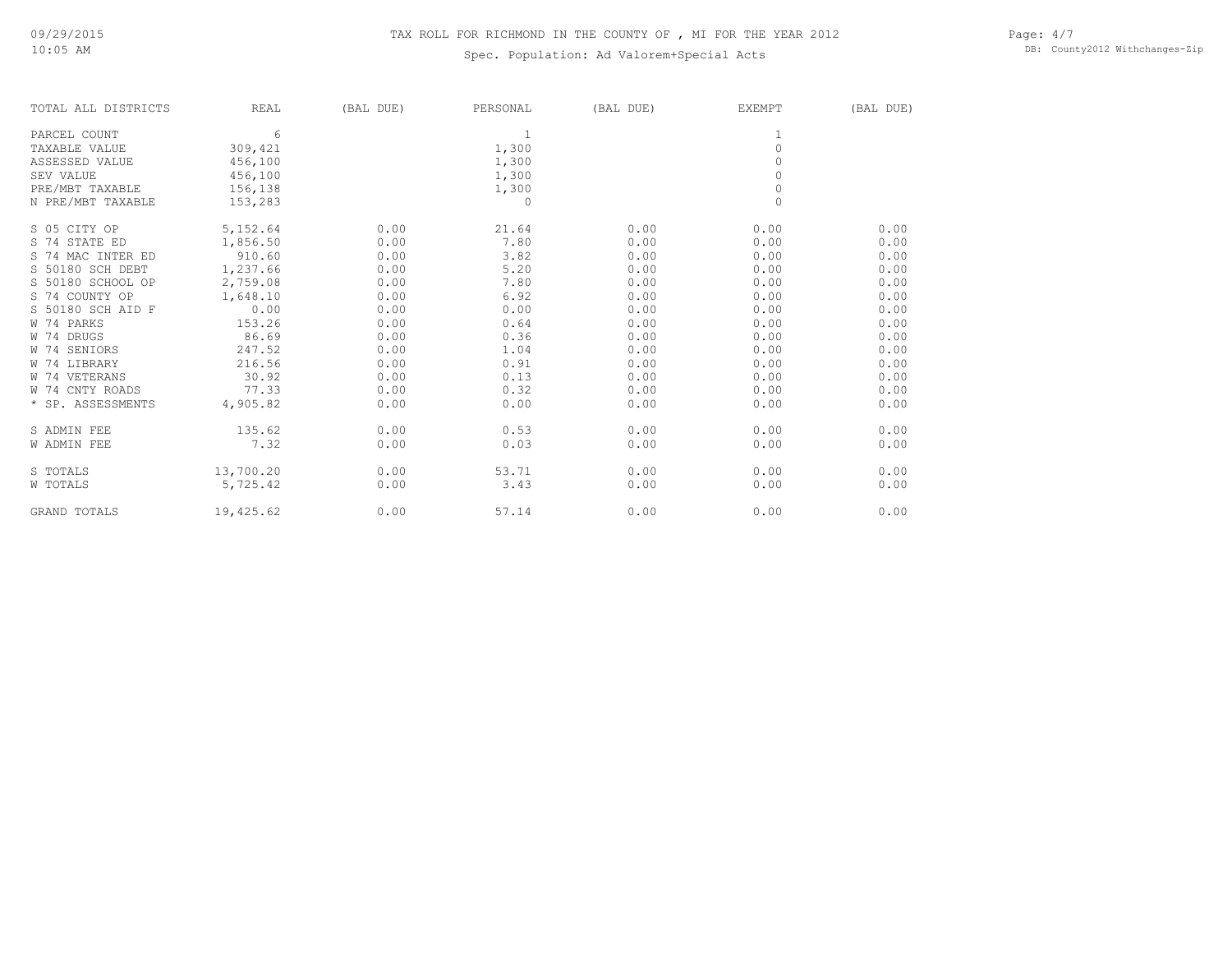## Spec. Population: Ad Valorem+Special Acts

Page: 4/7 DB: County2012 Withchanges-Zip

| TOTAL ALL DISTRICTS | REAL      | (BAL DUE) | PERSONAL | (BAL DUE) | <b>EXEMPT</b> | (BAL DUE) |
|---------------------|-----------|-----------|----------|-----------|---------------|-----------|
| PARCEL COUNT        | 6         |           | 1        |           |               |           |
| TAXABLE VALUE       | 309,421   |           | 1,300    |           | $\Omega$      |           |
| ASSESSED VALUE      | 456,100   |           | 1,300    |           | $\cap$        |           |
| SEV VALUE           | 456,100   |           | 1,300    |           | $\circ$       |           |
| PRE/MBT TAXABLE     | 156,138   |           | 1,300    |           | $\circ$       |           |
| N PRE/MBT TAXABLE   | 153,283   |           | 0        |           | $\mathbf{0}$  |           |
| S 05 CITY OP        | 5,152.64  | 0.00      | 21.64    | 0.00      | 0.00          | 0.00      |
| S 74 STATE ED       | 1,856.50  | 0.00      | 7.80     | 0.00      | 0.00          | 0.00      |
| S 74 MAC INTER ED   | 910.60    | 0.00      | 3.82     | 0.00      | 0.00          | 0.00      |
| S 50180 SCH DEBT    | 1,237.66  | 0.00      | 5.20     | 0.00      | 0.00          | 0.00      |
| S 50180 SCHOOL OP   | 2,759.08  | 0.00      | 7.80     | 0.00      | 0.00          | 0.00      |
| S 74 COUNTY OP      | 1,648.10  | 0.00      | 6.92     | 0.00      | 0.00          | 0.00      |
| S 50180 SCH AID F   | 0.00      | 0.00      | 0.00     | 0.00      | 0.00          | 0.00      |
| W 74 PARKS          | 153.26    | 0.00      | 0.64     | 0.00      | 0.00          | 0.00      |
| W 74 DRUGS          | 86.69     | 0.00      | 0.36     | 0.00      | 0.00          | 0.00      |
| W 74 SENIORS        | 247.52    | 0.00      | 1.04     | 0.00      | 0.00          | 0.00      |
| W 74 LIBRARY        | 216.56    | 0.00      | 0.91     | 0.00      | 0.00          | 0.00      |
| W 74 VETERANS       | 30.92     | 0.00      | 0.13     | 0.00      | 0.00          | 0.00      |
| W 74 CNTY ROADS     | 77.33     | 0.00      | 0.32     | 0.00      | 0.00          | 0.00      |
| * SP. ASSESSMENTS   | 4,905.82  | 0.00      | 0.00     | 0.00      | 0.00          | 0.00      |
| S ADMIN FEE         | 135.62    | 0.00      | 0.53     | 0.00      | 0.00          | 0.00      |
| W ADMIN FEE         | 7.32      | 0.00      | 0.03     | 0.00      | 0.00          | 0.00      |
| S TOTALS            | 13,700.20 | 0.00      | 53.71    | 0.00      | 0.00          | 0.00      |
| W TOTALS            | 5,725.42  | 0.00      | 3.43     | 0.00      | 0.00          | 0.00      |
| <b>GRAND TOTALS</b> | 19,425.62 | 0.00      | 57.14    | 0.00      | 0.00          | 0.00      |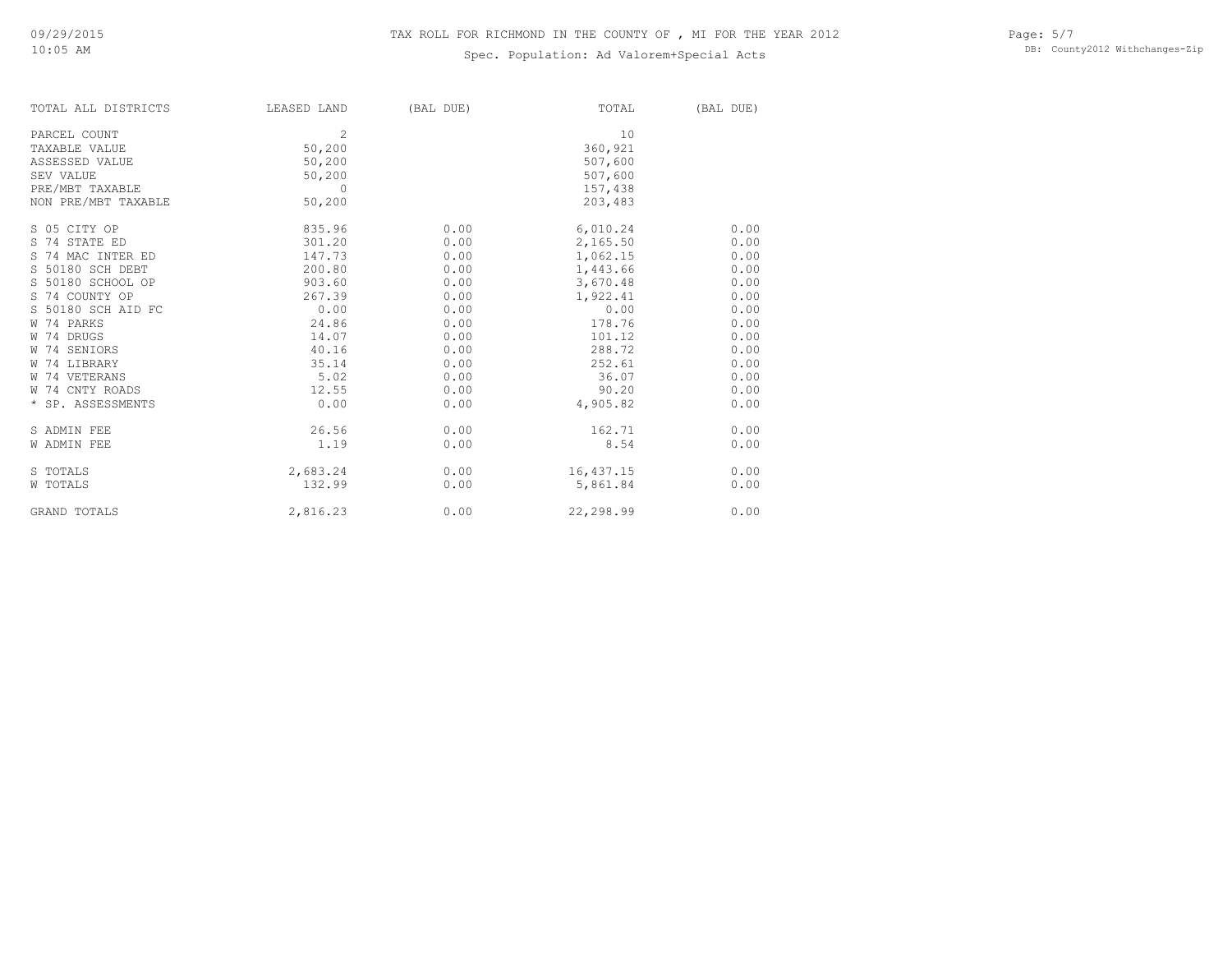## Spec. Population: Ad Valorem+Special Acts

| TOTAL ALL DISTRICTS | LEASED LAND | (BAL DUE) | TOTAL     | (BAL DUE) |
|---------------------|-------------|-----------|-----------|-----------|
| PARCEL COUNT        | 2           |           | 10        |           |
| TAXABLE VALUE       | 50,200      |           | 360,921   |           |
| ASSESSED VALUE      | 50,200      |           | 507,600   |           |
| SEV VALUE           | 50,200      |           | 507,600   |           |
| PRE/MBT TAXABLE     | $\Omega$    |           | 157,438   |           |
| NON PRE/MBT TAXABLE | 50,200      |           | 203,483   |           |
| S 05 CITY OP        | 835.96      | 0.00      | 6,010.24  | 0.00      |
| S 74 STATE ED       | 301.20      | 0.00      | 2,165.50  | 0.00      |
| S 74 MAC INTER ED   | 147.73      | 0.00      | 1,062.15  | 0.00      |
| S 50180 SCH DEBT    | 200.80      | 0.00      | 1,443.66  | 0.00      |
| S 50180 SCHOOL OP   | 903.60      | 0.00      | 3,670.48  | 0.00      |
| S 74 COUNTY OP      | 267.39      | 0.00      | 1,922.41  | 0.00      |
| S 50180 SCH AID FC  | 0.00        | 0.00      | 0.00      | 0.00      |
| W 74 PARKS          | 24.86       | 0.00      | 178.76    | 0.00      |
| W 74 DRUGS          | 14.07       | 0.00      | 101.12    | 0.00      |
| W 74 SENIORS        | 40.16       | 0.00      | 288.72    | 0.00      |
| W 74 LIBRARY        | 35.14       | 0.00      | 252.61    | 0.00      |
| W 74 VETERANS       | 5.02        | 0.00      | 36.07     | 0.00      |
| W 74 CNTY ROADS     | 12.55       | 0.00      | 90.20     | 0.00      |
| * SP. ASSESSMENTS   | 0.00        | 0.00      | 4,905.82  | 0.00      |
| S ADMIN FEE         | 26.56       | 0.00      | 162.71    | 0.00      |
| <b>W ADMIN FEE</b>  | 1.19        | 0.00      | 8.54      | 0.00      |
| S TOTALS            | 2,683.24    | 0.00      | 16,437.15 | 0.00      |
| W TOTALS            | 132.99      | 0.00      | 5,861.84  | 0.00      |
| <b>GRAND TOTALS</b> | 2,816.23    | 0.00      | 22,298.99 | 0.00      |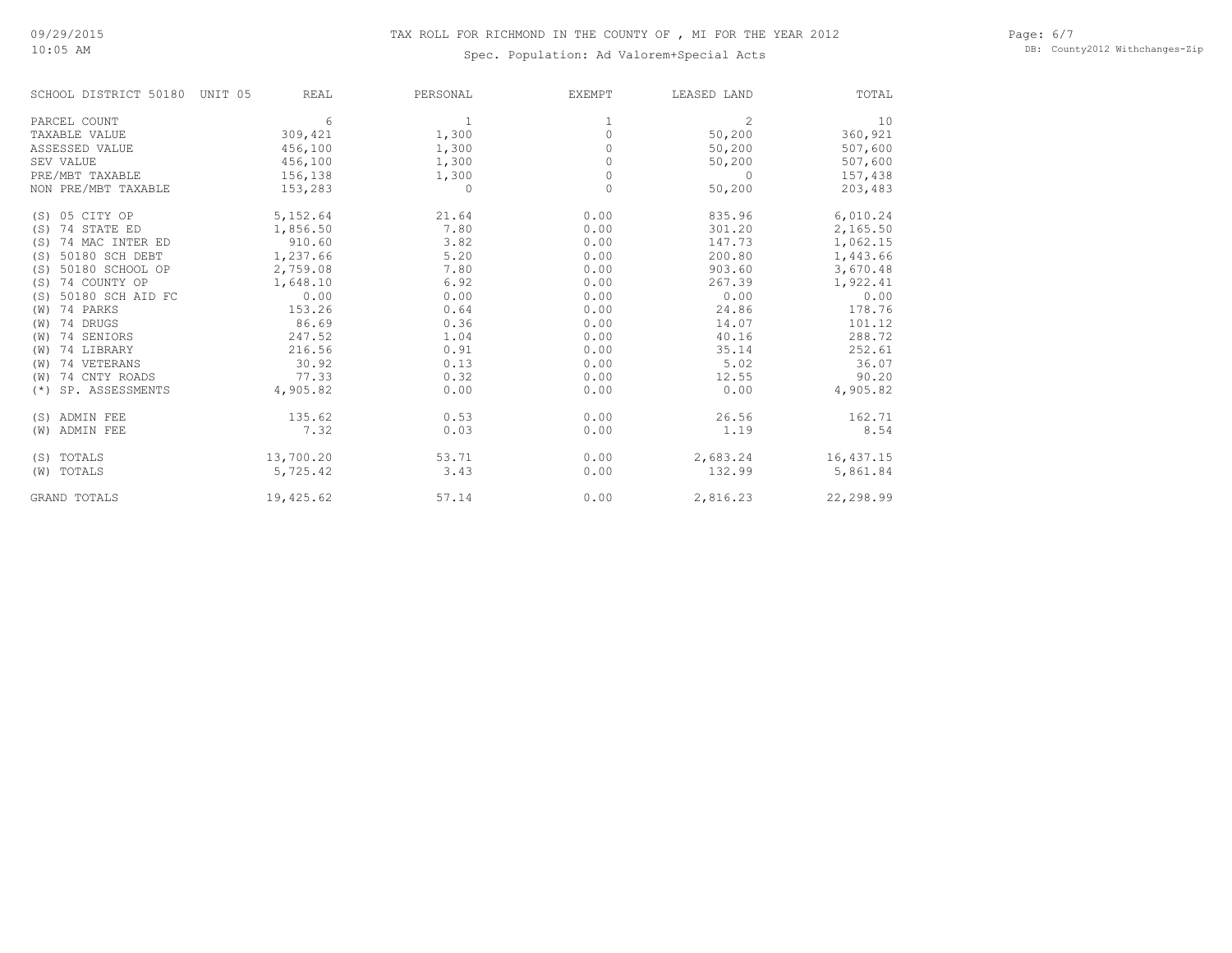# 10:05 AM

Page: 6/7 DB: County2012 Withchanges-Zip

| SCHOOL DISTRICT 50180    | UNIT 05<br><b>REAL</b> | PERSONAL     | <b>EXEMPT</b> | LEASED LAND    | TOTAL     |
|--------------------------|------------------------|--------------|---------------|----------------|-----------|
| PARCEL COUNT             | 6                      | $\mathbf{1}$ |               | $\overline{c}$ | 10        |
| TAXABLE VALUE            | 309,421                | 1,300        | 0             | 50,200         | 360,921   |
| ASSESSED VALUE           | 456,100                | 1,300        |               | 50,200         | 507,600   |
| SEV VALUE                | 456,100                | 1,300        | 0             | 50,200         | 507,600   |
| PRE/MBT TAXABLE          | 156,138                | 1,300        | $\Omega$      | $\bigcap$      | 157,438   |
| NON PRE/MBT TAXABLE      | 153,283                | 0            | 0             | 50,200         | 203,483   |
| (S) 05 CITY OP           | 5,152.64               | 21.64        | 0.00          | 835.96         | 6,010.24  |
| 74 STATE ED<br>(S)       | 1,856.50               | 7.80         | 0.00          | 301.20         | 2,165.50  |
| 74 MAC INTER ED<br>(S)   | 910.60                 | 3.82         | 0.00          | 147.73         | 1,062.15  |
| 50180 SCH DEBT<br>(S)    | 1,237.66               | 5.20         | 0.00          | 200.80         | 1,443.66  |
| 50180 SCHOOL OP<br>(S)   | 2,759.08               | 7.80         | 0.00          | 903.60         | 3,670.48  |
| 74 COUNTY OP<br>(S)      | 1,648.10               | 6.92         | 0.00          | 267.39         | 1,922.41  |
| 50180 SCH AID FC<br>(S)  | 0.00                   | 0.00         | 0.00          | 0.00           | 0.00      |
| 74 PARKS<br>(W)          | 153.26                 | 0.64         | 0.00          | 24.86          | 178.76    |
| 74 DRUGS<br>(W)          | 86.69                  | 0.36         | 0.00          | 14.07          | 101.12    |
| 74 SENIORS<br>(W)        | 247.52                 | 1.04         | 0.00          | 40.16          | 288.72    |
| 74 LIBRARY<br>(W)        | 216.56                 | 0.91         | 0.00          | 35.14          | 252.61    |
| 74 VETERANS<br>(W)       | 30.92                  | 0.13         | 0.00          | 5.02           | 36.07     |
| 74 CNTY ROADS<br>(W)     | 77.33                  | 0.32         | 0.00          | 12.55          | 90.20     |
| SP. ASSESSMENTS<br>$(*)$ | 4,905.82               | 0.00         | 0.00          | 0.00           | 4,905.82  |
| (S) ADMIN FEE            | 135.62                 | 0.53         | 0.00          | 26.56          | 162.71    |
| (W) ADMIN FEE            | 7.32                   | 0.03         | 0.00          | 1.19           | 8.54      |
| (S) TOTALS               | 13,700.20              | 53.71        | 0.00          | 2,683.24       | 16,437.15 |
| (W) TOTALS               | 5,725.42               | 3.43         | 0.00          | 132.99         | 5,861.84  |
| <b>GRAND TOTALS</b>      | 19,425.62              | 57.14        | 0.00          | 2,816.23       | 22,298.99 |